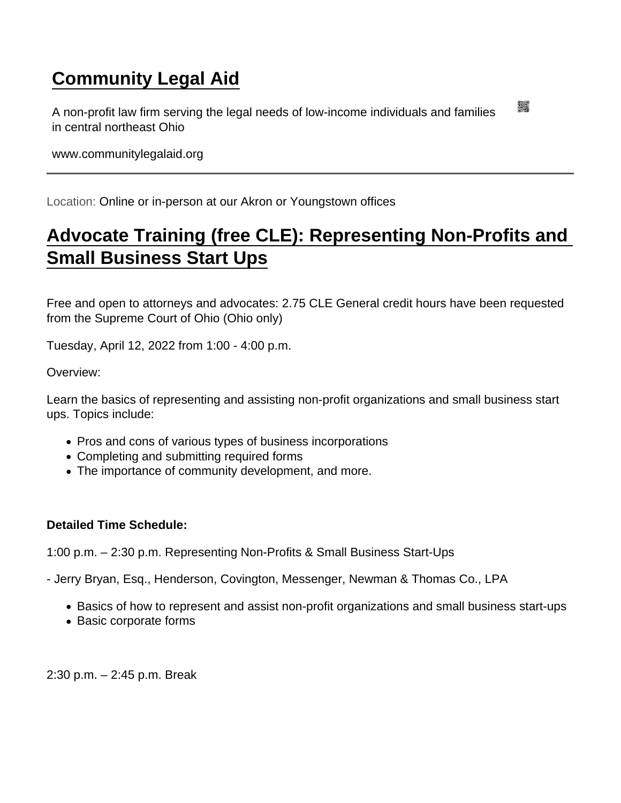## [Community Legal Aid](https://www.communitylegalaid.org/)

A non-profit law firm serving the legal needs of low-income individuals and families in central northeast Ohio

www.communitylegalaid.org

Location: Online or in-person at our Akron or Youngstown offices

## [Advocate Training \(free CLE\): Representing Non-Profits and](https://www.communitylegalaid.org/node/1690/advocate-training-free-cle-representing-non-profits-and-small-business-start-ups)  [Small Business Start Ups](https://www.communitylegalaid.org/node/1690/advocate-training-free-cle-representing-non-profits-and-small-business-start-ups)

Free and open to attorneys and advocates: 2.75 CLE General credit hours have been requested from the Supreme Court of Ohio (Ohio only)

Tuesday, April 12, 2022 from 1:00 - 4:00 p.m.

Overview:

Learn the basics of representing and assisting non-profit organizations and small business start ups. Topics include:

- Pros and cons of various types of business incorporations
- Completing and submitting required forms
- The importance of community development, and more.

Detailed Time Schedule:

1:00 p.m. – 2:30 p.m. Representing Non-Profits & Small Business Start-Ups

- Jerry Bryan, Esq., Henderson, Covington, Messenger, Newman & Thomas Co., LPA

- Basics of how to represent and assist non-profit organizations and small business start-ups
- Basic corporate forms

2:30 p.m. – 2:45 p.m. Break